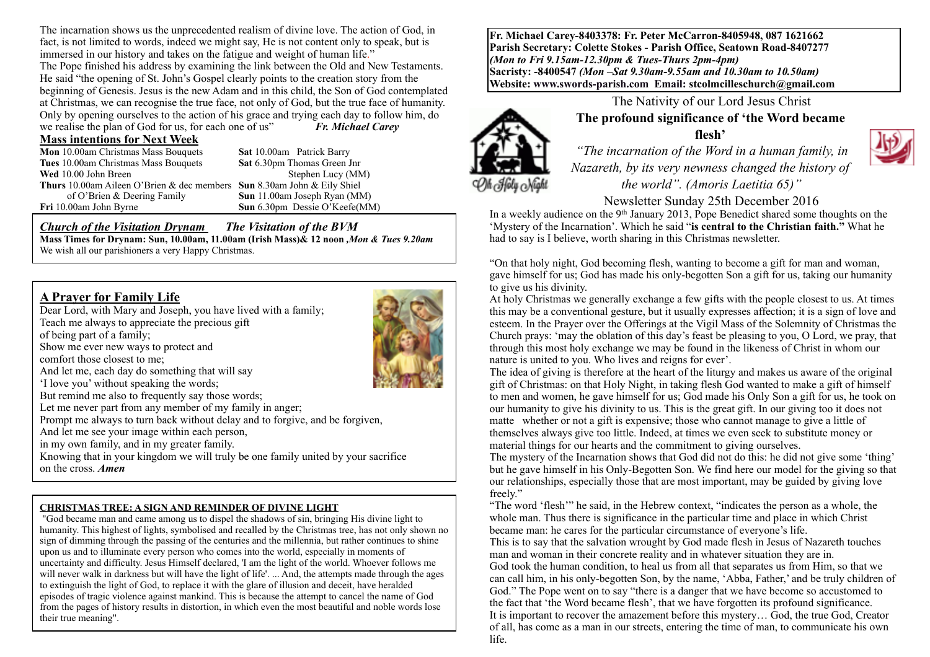The incarnation shows us the unprecedented realism of divine love. The action of God, in fact, is not limited to words, indeed we might say, He is not content only to speak, but is immersed in our history and takes on the fatigue and weight of human life." The Pope finished his address by examining the link between the Old and New Testaments. He said "the opening of St. John's Gospel clearly points to the creation story from the beginning of Genesis. Jesus is the new Adam and in this child, the Son of God contemplated at Christmas, we can recognise the true face, not only of God, but the true face of humanity. Only by opening ourselves to the action of his grace and trying each day to follow him, do we realise the plan of God for us, for each one of us" *Fr. Michael Carey*

#### **Mass intentions for Next Week**

**Mon** 10.00am Christmas Mass Bouquets **Sat 10.00am** Patrick Barry<br> **Tues** 10.00am Christmas Mass Bouquets **Sat 6.30pm Thomas Green Jnr Tues** 10.00am Christmas Mass Bouquets **Wed** 10.00 John Breen Stephen Lucy (MM) **Thurs** 10.00am Aileen O'Brien & dec members **Sun** 8.30am John & Eily Shiel of O'Brien & Deering Family **Sun** 11.00am Joseph Ryan (MM)

**Sun** 6.30pm Dessie O'Keefe(MM)

### *Church of the Visitation Drynam**The Visitation of the BVM*

**Mass Times for Drynam: Sun, 10.00am, 11.00am (Irish Mass)& 12 noon** *,Mon & Tues 9.20am*  We wish all our parishioners a very Happy Christmas.

# **A Prayer for Family Life**

Dear Lord, with Mary and Joseph, you have lived with a family; Teach me always to appreciate the precious gift of being part of a family; Show me ever new ways to protect and comfort those closest to me; And let me, each day do something that will say 'I love you' without speaking the words; But remind me also to frequently say those words; Let me never part from any member of my family in anger; Prompt me always to turn back without delay and to forgive, and be forgiven, And let me see your image within each person, in my own family, and in my greater family. Knowing that in your kingdom we will truly be one family united by your sacrifice on the cross. *Amen*

### **CHRISTMAS TREE: A SIGN AND REMINDER OF DIVINE LIGHT**

 "God became man and came among us to dispel the shadows of sin, bringing His divine light to humanity. This highest of lights, symbolised and recalled by the Christmas tree, has not only shown no sign of dimming through the passing of the centuries and the millennia, but rather continues to shine upon us and to illuminate every person who comes into the world, especially in moments of uncertainty and difficulty. Jesus Himself declared, 'I am the light of the world. Whoever follows me will never walk in darkness but will have the light of life'. ... And, the attempts made through the ages to extinguish the light of God, to replace it with the glare of illusion and deceit, have heralded episodes of tragic violence against mankind. This is because the attempt to cancel the name of God from the pages of history results in distortion, in which even the most beautiful and noble words lose their true meaning".

**Fr. Michael Carey-8403378: Fr. Peter McCarron-8405948, 087 1621662 Parish Secretary: Colette Stokes - Parish Office, Seatown Road-8407277**  *(Mon to Fri 9.15am-12.30pm & Tues-Thurs 2pm-4pm)*  **Sacristy: -8400547** *(Mon –Sat 9.30am-9.55am and 10.30am to 10.50am)* **Website: [www.swords-parish.com Email:](http://www.swords-parish.com%20%20email) stcolmcilleschurch@gmail.com**



The Nativity of our Lord Jesus Christ **The profound significance of 'the Word became flesh'**

 *"The incarnation of the Word in a human family, in Nazareth, by its very newness changed the history of the world". (Amoris Laetitia 65)"* 

#### Newsletter Sunday 25th December 2016

In a weekly audience on the 9th January 2013, Pope Benedict shared some thoughts on the 'Mystery of the Incarnation'. Which he said "**is central to the Christian faith."** What he had to say is I believe, worth sharing in this Christmas newsletter.

"On that holy night, God becoming flesh, wanting to become a gift for man and woman, gave himself for us; God has made his only-begotten Son a gift for us, taking our humanity to give us his divinity.

At holy Christmas we generally exchange a few gifts with the people closest to us. At times this may be a conventional gesture, but it usually expresses affection; it is a sign of love and esteem. In the Prayer over the Offerings at the Vigil Mass of the Solemnity of Christmas the Church prays: 'may the oblation of this day's feast be pleasing to you, O Lord, we pray, that through this most holy exchange we may be found in the likeness of Christ in whom our nature is united to you. Who lives and reigns for ever'.

The idea of giving is therefore at the heart of the liturgy and makes us aware of the original gift of Christmas: on that Holy Night, in taking flesh God wanted to make a gift of himself to men and women, he gave himself for us; God made his Only Son a gift for us, he took on our humanity to give his divinity to us. This is the great gift. In our giving too it does not matte whether or not a gift is expensive; those who cannot manage to give a little of themselves always give too little. Indeed, at times we even seek to substitute money or material things for our hearts and the commitment to giving ourselves.

The mystery of the Incarnation shows that God did not do this: he did not give some 'thing' but he gave himself in his Only-Begotten Son. We find here our model for the giving so that our relationships, especially those that are most important, may be guided by giving love freely."

"The word 'flesh'" he said, in the Hebrew context, "indicates the person as a whole, the whole man. Thus there is significance in the particular time and place in which Christ became man: he cares for the particular circumstance of everyone's life.

This is to say that the salvation wrought by God made flesh in Jesus of Nazareth touches man and woman in their concrete reality and in whatever situation they are in. God took the human condition, to heal us from all that separates us from Him, so that we can call him, in his only-begotten Son, by the name, 'Abba, Father,' and be truly children of God." The Pope went on to say "there is a danger that we have become so accustomed to the fact that 'the Word became flesh', that we have forgotten its profound significance. It is important to recover the amazement before this mystery… God, the true God, Creator of all, has come as a man in our streets, entering the time of man, to communicate his own life.